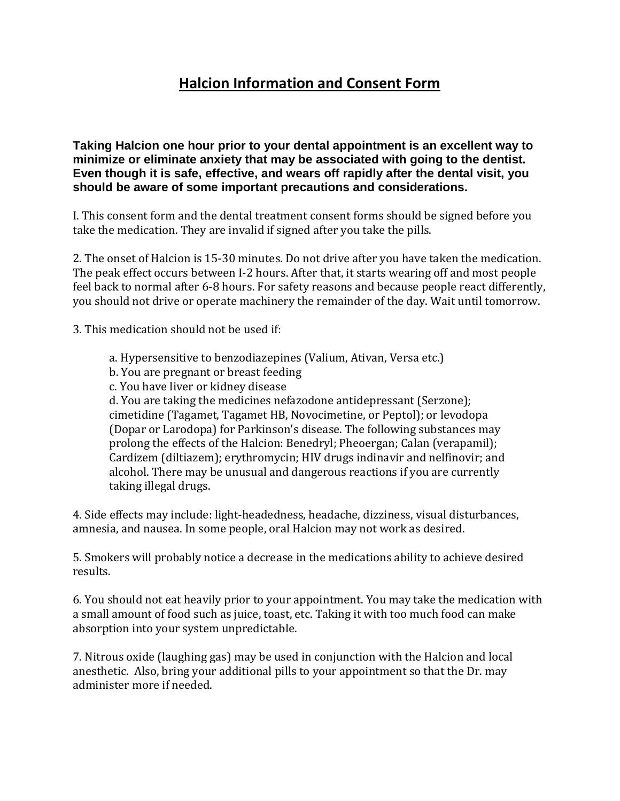## **Halcion Information and Consent Form**

**Taking Halcion one hour prior to your dental appointment is an excellent way to minimize or eliminate anxiety that may be associated with going to the dentist. Even though it is safe, effective, and wears off rapidly after the dental visit, you should be aware of some important precautions and considerations.**

I. This consent form and the dental treatment consent forms should be signed before you take the medication. They are invalid if signed after you take the pills.

2. The onset of Halcion is 15-30 minutes. Do not drive after you have taken the medication. The peak effect occurs between I-2 hours. After that, it starts wearing off and most people feel back to normal after 6-8 hours. For safety reasons and because people react differently, you should not drive or operate machinery the remainder of the day. Wait until tomorrow.

3. This medication should not be used if:

- a. Hypersensitive to benzodiazepines (Valium, Ativan, Versa etc.)
- b. You are pregnant or breast feeding
- c. You have liver or kidney disease

d. You are taking the medicines nefazodone antidepressant (Serzone); cimetidine (Tagamet, Tagamet HB, Novocimetine, or Peptol); or levodopa (Dopar or Larodopa) for Parkinson's disease. The following substances may prolong the effects of the Halcion: Benedryl; Pheoergan; Calan (verapamil); Cardizem (diltiazem); erythromycin; HIV drugs indinavir and nelfinovir; and alcohol. There may be unusual and dangerous reactions if you are currently taking illegal drugs.

4. Side effects may include: light-headedness, headache, dizziness, visual disturbances, amnesia, and nausea. In some people, oral Halcion may not work as desired.

5. Smokers will probably notice a decrease in the medications ability to achieve desired results.

6. You should not eat heavily prior to your appointment. You may take the medication with a small amount of food such as juice, toast, etc. Taking it with too much food can make absorption into your system unpredictable.

7. Nitrous oxide (laughing gas) may be used in conjunction with the Halcion and local anesthetic. Also, bring your additional pills to your appointment so that the Dr. may administer more if needed.